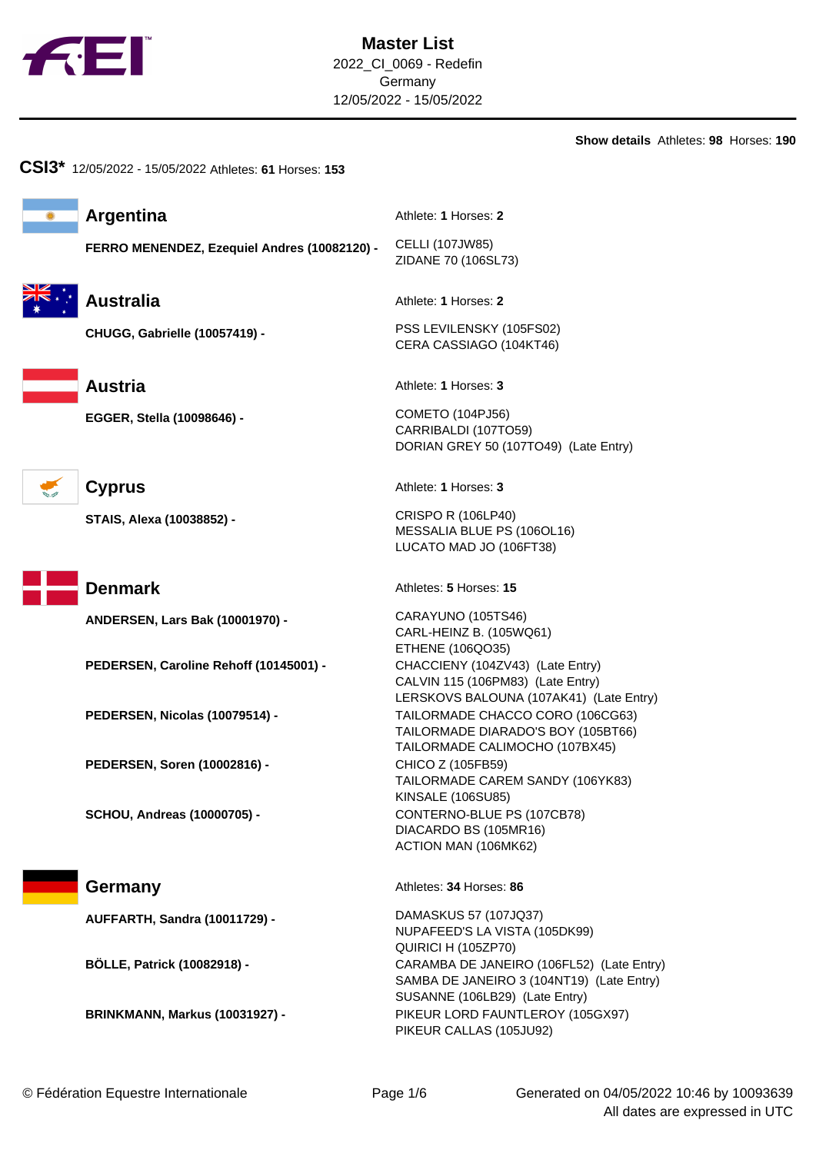

**Show details** Athletes: **98** Horses: **190**

| <b>Argentina</b>                             | Athlete: 1 Horses: 2                                                                                                     |  |
|----------------------------------------------|--------------------------------------------------------------------------------------------------------------------------|--|
| FERRO MENENDEZ, Ezequiel Andres (10082120) - | CELLI (107JW85)<br>ZIDANE 70 (106SL73)                                                                                   |  |
| <b>Australia</b>                             | Athlete: 1 Horses: 2                                                                                                     |  |
| CHUGG, Gabrielle (10057419) -                | PSS LEVILENSKY (105FS02)<br>CERA CASSIAGO (104KT46)                                                                      |  |
| <b>Austria</b>                               | Athlete: 1 Horses: 3                                                                                                     |  |
| EGGER, Stella (10098646) -                   | <b>COMETO (104PJ56)</b><br>CARRIBALDI (107TO59)<br>DORIAN GREY 50 (107TO49) (Late Entry)                                 |  |
| <b>Cyprus</b>                                | Athlete: 1 Horses: 3                                                                                                     |  |
| STAIS, Alexa (10038852) -                    | <b>CRISPO R (106LP40)</b><br>MESSALIA BLUE PS (106OL16)<br>LUCATO MAD JO (106FT38)                                       |  |
| <b>Denmark</b>                               | Athletes: 5 Horses: 15                                                                                                   |  |
| ANDERSEN, Lars Bak (10001970) -              | CARAYUNO (105TS46)<br>CARL-HEINZ B. (105WQ61)<br>ETHENE (106QO35)                                                        |  |
| PEDERSEN, Caroline Rehoff (10145001) -       | CHACCIENY (104ZV43) (Late Entry)<br>CALVIN 115 (106PM83) (Late Entry)<br>LERSKOVS BALOUNA (107AK41) (Late Entry)         |  |
| PEDERSEN, Nicolas (10079514) -               | TAILORMADE CHACCO CORO (106CG63)<br>TAILORMADE DIARADO'S BOY (105BT66)<br>TAILORMADE CALIMOCHO (107BX45)                 |  |
| PEDERSEN, Soren (10002816) -                 | CHICO Z (105FB59)<br>TAILORMADE CAREM SANDY (106YK83)<br><b>KINSALE (106SU85)</b>                                        |  |
| <b>SCHOU, Andreas (10000705) -</b>           | CONTERNO-BLUE PS (107CB78)<br>DIACARDO BS (105MR16)<br>ACTION MAN (106MK62)                                              |  |
| Germany                                      | Athletes: 34 Horses: 86                                                                                                  |  |
| <b>AUFFARTH, Sandra (10011729) -</b>         | DAMASKUS 57 (107JQ37)<br>NUPAFEED'S LA VISTA (105DK99)<br>QUIRICI H (105ZP70)                                            |  |
| <b>BÖLLE, Patrick (10082918) -</b>           | CARAMBA DE JANEIRO (106FL52) (Late Entry)<br>SAMBA DE JANEIRO 3 (104NT19) (Late Entry)<br>SUSANNE (106LB29) (Late Entry) |  |
| <b>BRINKMANN, Markus (10031927) -</b>        | PIKEUR LORD FAUNTLEROY (105GX97)                                                                                         |  |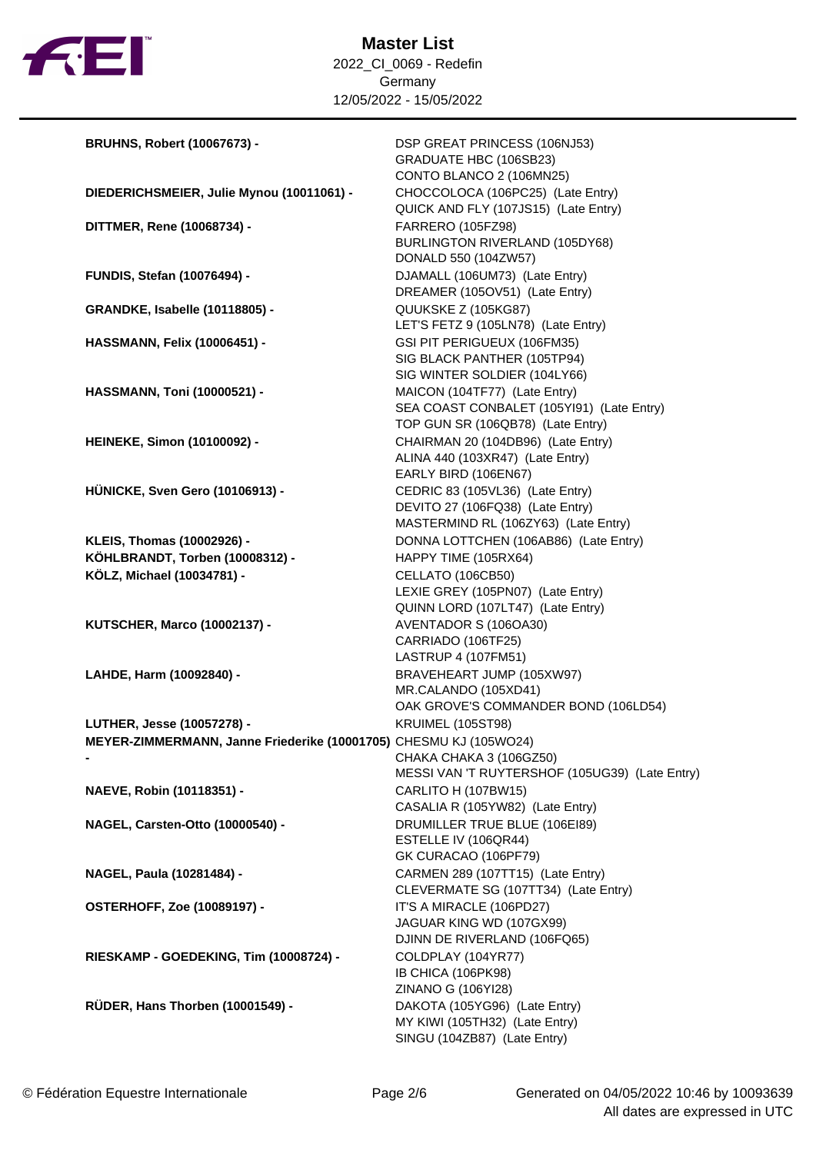

| <b>BRUHNS, Robert (10067673) -</b>                                                              | DSP GREAT PRINCESS (106NJ53)<br>GRADUATE HBC (106SB23)<br>CONTO BLANCO 2 (106MN25)                              |  |  |
|-------------------------------------------------------------------------------------------------|-----------------------------------------------------------------------------------------------------------------|--|--|
| DIEDERICHSMEIER, Julie Mynou (10011061) -                                                       | CHOCCOLOCA (106PC25) (Late Entry)<br>QUICK AND FLY (107JS15) (Late Entry)                                       |  |  |
| DITTMER, Rene (10068734) -                                                                      | <b>FARRERO (105FZ98)</b><br>BURLINGTON RIVERLAND (105DY68)<br>DONALD 550 (104ZW57)                              |  |  |
| <b>FUNDIS, Stefan (10076494) -</b>                                                              | DJAMALL (106UM73) (Late Entry)<br>DREAMER (105OV51) (Late Entry)                                                |  |  |
| <b>GRANDKE, Isabelle (10118805) -</b>                                                           | QUUKSKE Z (105KG87)<br>LET'S FETZ 9 (105LN78) (Late Entry)                                                      |  |  |
| <b>HASSMANN, Felix (10006451) -</b>                                                             | GSI PIT PERIGUEUX (106FM35)<br>SIG BLACK PANTHER (105TP94)<br>SIG WINTER SOLDIER (104LY66)                      |  |  |
| <b>HASSMANN, Toni (10000521) -</b>                                                              | MAICON (104TF77) (Late Entry)<br>SEA COAST CONBALET (105YI91) (Late Entry)<br>TOP GUN SR (106QB78) (Late Entry) |  |  |
| <b>HEINEKE, Simon (10100092) -</b>                                                              | CHAIRMAN 20 (104DB96) (Late Entry)<br>ALINA 440 (103XR47) (Late Entry)<br>EARLY BIRD (106EN67)                  |  |  |
| <b>HÜNICKE, Sven Gero (10106913) -</b>                                                          | CEDRIC 83 (105VL36) (Late Entry)<br>DEVITO 27 (106FQ38) (Late Entry)<br>MASTERMIND RL (106ZY63) (Late Entry)    |  |  |
| KLEIS, Thomas (10002926) -                                                                      | DONNA LOTTCHEN (106AB86) (Late Entry)                                                                           |  |  |
| KÖHLBRANDT, Torben (10008312) -                                                                 | HAPPY TIME (105RX64)                                                                                            |  |  |
| KÖLZ, Michael (10034781) -                                                                      | CELLATO (106CB50)                                                                                               |  |  |
|                                                                                                 | LEXIE GREY (105PN07) (Late Entry)                                                                               |  |  |
|                                                                                                 | QUINN LORD (107LT47) (Late Entry)                                                                               |  |  |
| <b>KUTSCHER, Marco (10002137) -</b>                                                             | AVENTADOR S (106OA30)                                                                                           |  |  |
|                                                                                                 | CARRIADO (106TF25)                                                                                              |  |  |
|                                                                                                 | LASTRUP 4 (107FM51)                                                                                             |  |  |
| LAHDE, Harm (10092840) -                                                                        | BRAVEHEART JUMP (105XW97)                                                                                       |  |  |
|                                                                                                 | MR.CALANDO (105XD41)                                                                                            |  |  |
|                                                                                                 | OAK GROVE'S COMMANDER BOND (106LD54)<br><b>KRUIMEL (105ST98)</b>                                                |  |  |
| LUTHER, Jesse (10057278) -<br>MEYER-ZIMMERMANN, Janne Friederike (10001705) CHESMU KJ (105WO24) |                                                                                                                 |  |  |
|                                                                                                 | CHAKA CHAKA 3 (106GZ50)                                                                                         |  |  |
|                                                                                                 | MESSI VAN 'T RUYTERSHOF (105UG39) (Late Entry)                                                                  |  |  |
| NAEVE, Robin (10118351) -                                                                       | CARLITO H (107BW15)                                                                                             |  |  |
|                                                                                                 | CASALIA R (105YW82) (Late Entry)                                                                                |  |  |
| NAGEL, Carsten-Otto (10000540) -                                                                | DRUMILLER TRUE BLUE (106E189)                                                                                   |  |  |
|                                                                                                 | ESTELLE IV (106QR44)                                                                                            |  |  |
|                                                                                                 | GK CURACAO (106PF79)                                                                                            |  |  |
| NAGEL, Paula (10281484) -                                                                       | CARMEN 289 (107TT15) (Late Entry)                                                                               |  |  |
|                                                                                                 | CLEVERMATE SG (107TT34) (Late Entry)                                                                            |  |  |
| <b>OSTERHOFF, Zoe (10089197) -</b>                                                              | IT'S A MIRACLE (106PD27)<br>JAGUAR KING WD (107GX99)<br>DJINN DE RIVERLAND (106FQ65)                            |  |  |
| RIESKAMP - GOEDEKING, Tim (10008724) -                                                          | COLDPLAY (104YR77)                                                                                              |  |  |
|                                                                                                 | IB CHICA (106PK98)                                                                                              |  |  |
|                                                                                                 | ZINANO G (106YI28)                                                                                              |  |  |
| RÜDER, Hans Thorben (10001549) -                                                                | DAKOTA (105YG96) (Late Entry)                                                                                   |  |  |
|                                                                                                 | MY KIWI (105TH32) (Late Entry)                                                                                  |  |  |
|                                                                                                 | SINGU (104ZB87) (Late Entry)                                                                                    |  |  |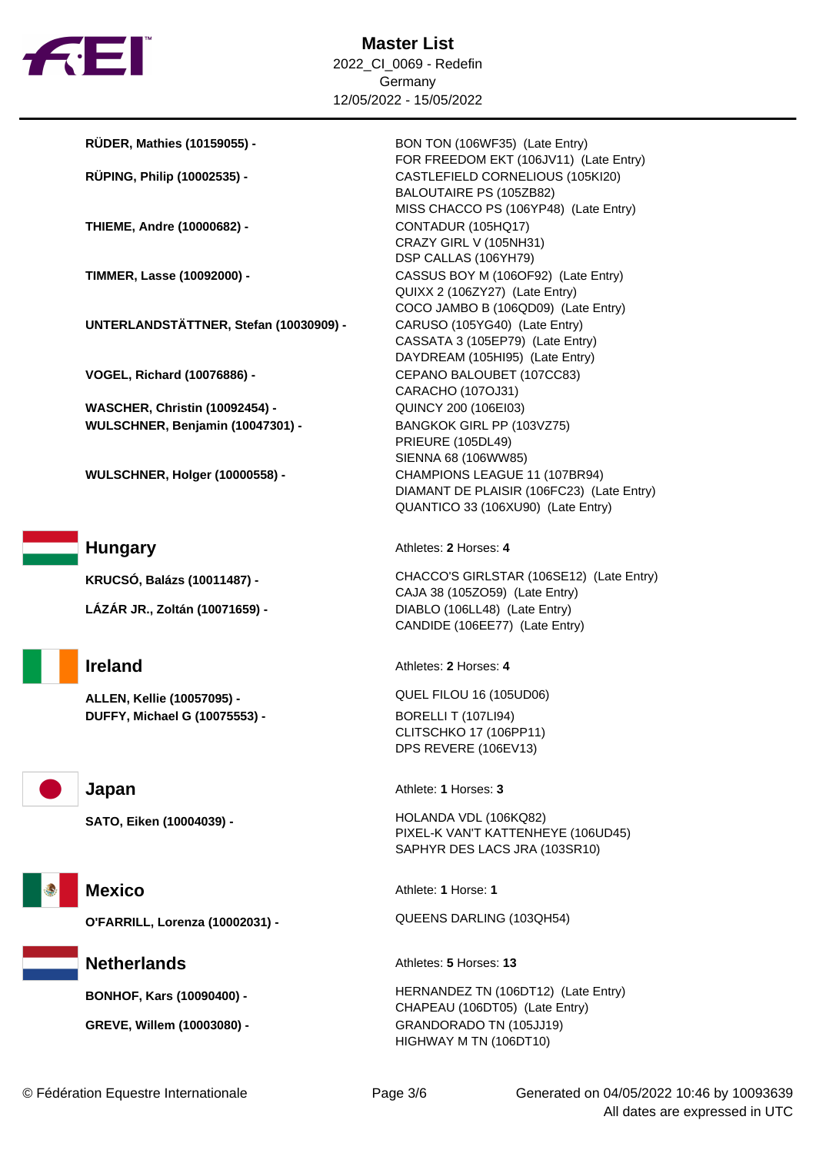

**RÜDER, Mathies (10159055) -** BON TON (106WF35) (Late Entry)

**THIEME, Andre (10000682) -** CONTADUR (105HQ17)

**UNTERLANDSTÄTTNER, Stefan (10030909) -** CARUSO (105YG40) (Late Entry)

**WASCHER, Christin (10092454) -** QUINCY 200 (106EI03) **WULSCHNER, Benjamin (10047301) -** BANGKOK GIRL PP (103VZ75)

**LÁZÁR JR., Zoltán (10071659) -** DIABLO (106LL48) (Late Entry)

**ALLEN, Kellie (10057095) -** QUEL FILOU 16 (105UD06) **DUFFY, Michael G (10075553) -** BORELLI T (107LI94)

FOR FREEDOM EKT (106JV11) (Late Entry) **RÜPING, Philip (10002535) -** CASTLEFIELD CORNELIOUS (105KI20) BALOUTAIRE PS (105ZB82) MISS CHACCO PS (106YP48) (Late Entry) CRAZY GIRL V (105NH31) DSP CALLAS (106YH79) **TIMMER, Lasse (10092000) -** CASSUS BOY M (106OF92) (Late Entry) QUIXX 2 (106ZY27) (Late Entry) COCO JAMBO B (106QD09) (Late Entry) CASSATA 3 (105EP79) (Late Entry) DAYDREAM (105HI95) (Late Entry) **VOGEL, Richard (10076886) -** CEPANO BALOUBET (107CC83) CARACHO (107OJ31) PRIEURE (105DL49) SIENNA 68 (106WW85) **WULSCHNER, Holger (10000558) -** CHAMPIONS LEAGUE 11 (107BR94) DIAMANT DE PLAISIR (106FC23) (Late Entry) QUANTICO 33 (106XU90) (Late Entry)

**Hungary** Athletes: 2 Horses: 4

**KRUCSÓ, Balázs (10011487) -** CHACCO'S GIRLSTAR (106SE12) (Late Entry) CAJA 38 (105ZO59) (Late Entry) CANDIDE (106EE77) (Late Entry)

**Ireland** Athletes: **2** Horses: **4** 

CLITSCHKO 17 (106PP11) DPS REVERE (106EV13)

**Japan** Athlete: **1** Horses: **3** 

**SATO, Eiken (10004039) -** HOLANDA VDL (106KQ82) PIXEL-K VAN'T KATTENHEYE (106UD45) SAPHYR DES LACS JRA (103SR10)

**Mexico** Athlete: **1** Horse: **1** 

**O'FARRILL, Lorenza (10002031) -** QUEENS DARLING (103QH54)

**Netherlands** Athletes: **5** Horses: 13

**BONHOF, Kars (10090400) -** HERNANDEZ TN (106DT12) (Late Entry) CHAPEAU (106DT05) (Late Entry) **GREVE, Willem (10003080) -** GRANDORADO TN (105JJ19) HIGHWAY M TN (106DT10)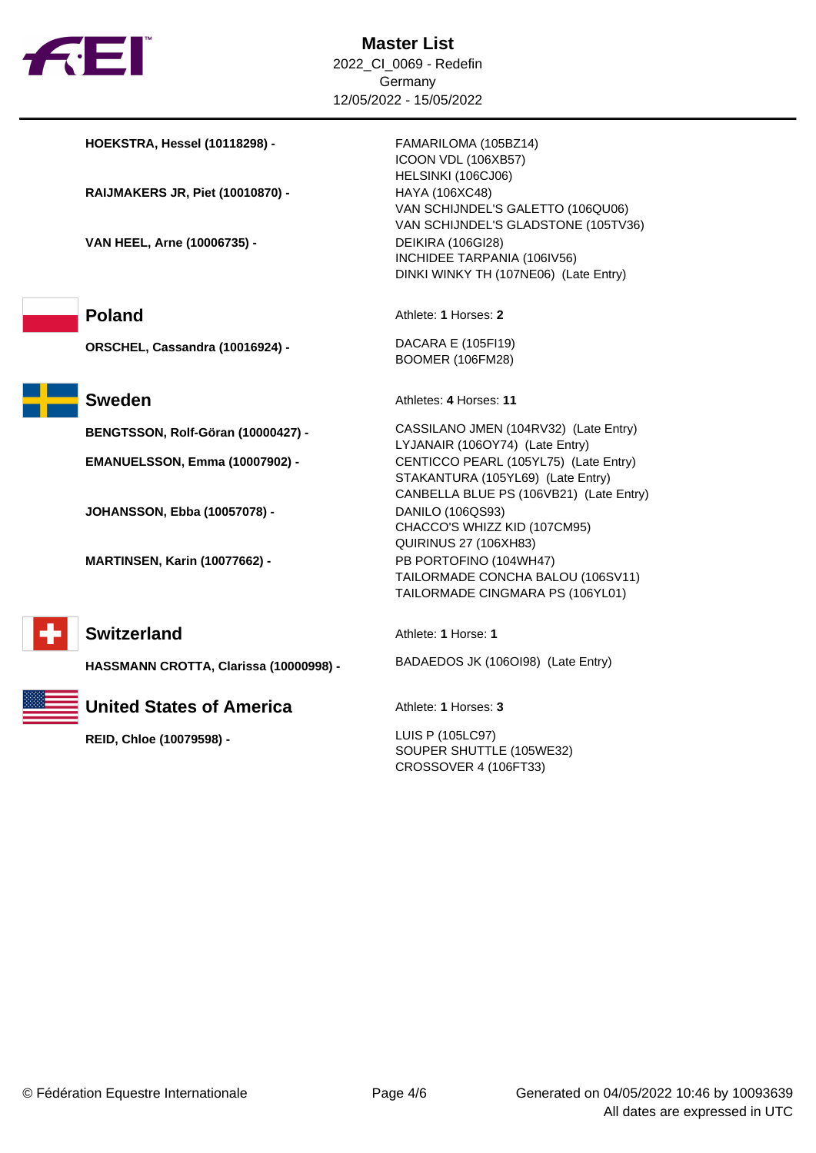

**HOEKSTRA, Hessel (10118298) -** FAMARILOMA (105BZ14) ICOON VDL (106XB57) HELSINKI (106CJ06) **RAIJMAKERS JR, Piet (10010870) -** HAYA (106XC48) VAN SCHIJNDEL'S GALETTO (106QU06) VAN SCHIJNDEL'S GLADSTONE (105TV36) **VAN HEEL, Arne (10006735) -** DEIKIRA (106GI28) INCHIDEE TARPANIA (106IV56) DINKI WINKY TH (107NE06) (Late Entry) **Poland** Athlete: **1** Horses: **2 ORSCHEL, Cassandra (10016924) -** DACARA E (105FI19) BOOMER (106FM28) **Sweden** Athletes: 4 Horses: 11 **BENGTSSON, Rolf-Göran (10000427) -** CASSILANO JMEN (104RV32) (Late Entry) LYJANAIR (106OY74) (Late Entry) **EMANUELSSON, Emma (10007902) -** CENTICCO PEARL (105YL75) (Late Entry) STAKANTURA (105YL69) (Late Entry) CANBELLA BLUE PS (106VB21) (Late Entry) **JOHANSSON, Ebba (10057078) -** DANILO (106QS93) CHACCO'S WHIZZ KID (107CM95) QUIRINUS 27 (106XH83) **MARTINSEN, Karin (10077662) -** PB PORTOFINO (104WH47) TAILORMADE CONCHA BALOU (106SV11) TAILORMADE CINGMARA PS (106YL01) **Switzerland** Athlete: **1** Horse: **1 HASSMANN CROTTA, Clarissa (10000998) -** BADAEDOS JK (106OI98) (Late Entry) **United States of America** Athlete: 1 Horses: 3 **REID, Chloe (10079598) -** LUIS P (105LC97) SOUPER SHUTTLE (105WE32) CROSSOVER 4 (106FT33)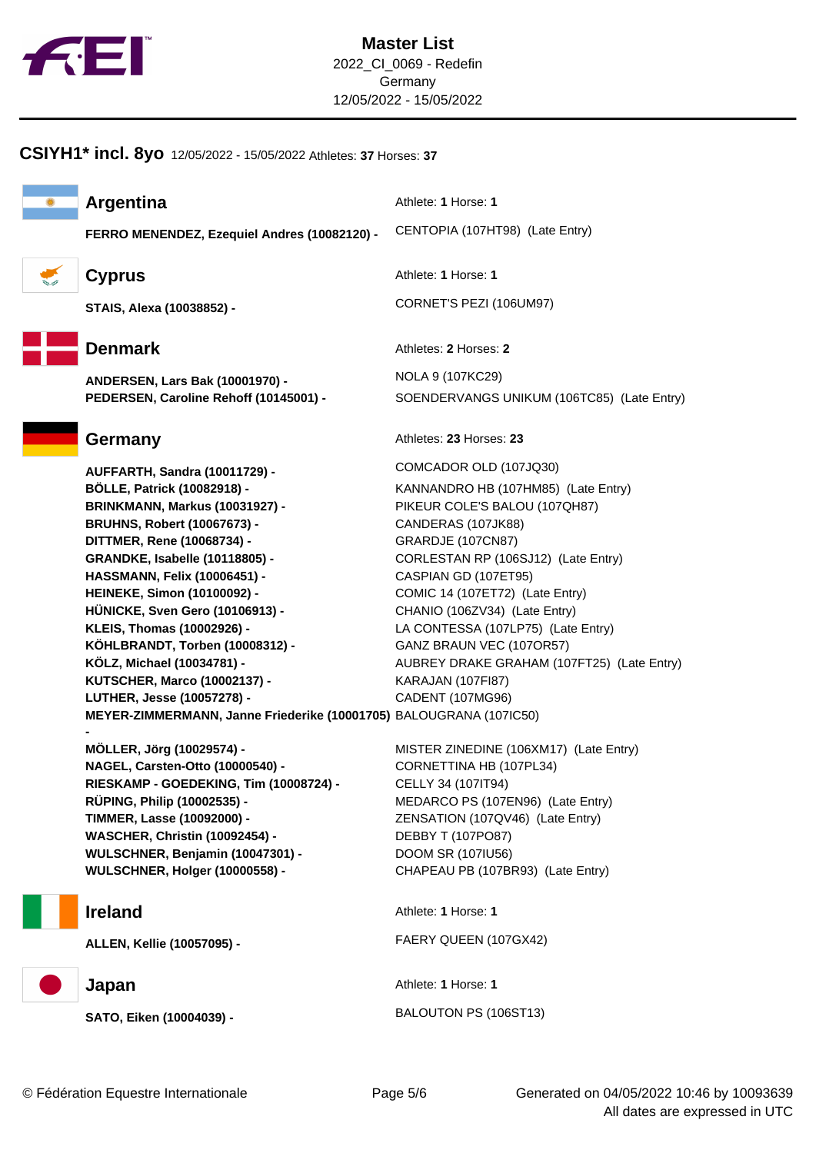

## **CSIYH1\* incl. 8yo** 12/05/2022 - 15/05/2022 Athletes: **37** Horses: **37**



**Argentina** Athlete: **1** Horse: **1** 

**FERRO MENENDEZ, Ezequiel Andres (10082120) -** CENTOPIA (107HT98) (Late Entry)

$$
\mathcal{L}_{\mathcal{A}}
$$



**ANDERSEN, Lars Bak (10001970) -** NOLA 9 (107KC29)

**AUFFARTH, Sandra (10011729) -** COMCADOR OLD (107JQ30) **BÖLLE, Patrick (10082918) -** KANNANDRO HB (107HM85) (Late Entry) **BRINKMANN, Markus (10031927) -** PIKEUR COLE'S BALOU (107QH87) **BRUHNS, Robert (10067673) -** CANDERAS (107JK88) **DITTMER, Rene (10068734) - <br>GRARDJE (107CN87) GRANDKE, Isabelle (10118805) -** CORLESTAN RP (106SJ12) (Late Entry) **HASSMANN, Felix (10006451) -** CASPIAN GD (107ET95) **HEINEKE, Simon (10100092) -** COMIC 14 (107ET72) (Late Entry) **HÜNICKE, Sven Gero (10106913) -** CHANIO (106ZV34) (Late Entry) **KLEIS, Thomas (10002926) -** LA CONTESSA (107LP75) (Late Entry) **KÖHLBRANDT, Torben (10008312) -** GANZ BRAUN VEC (107OR57) **KÖLZ, Michael (10034781) -** AUBREY DRAKE GRAHAM (107FT25) (Late Entry) **KUTSCHER, Marco (10002137) -** KARAJAN (107FI87) **LUTHER, Jesse (10057278) -** CADENT (107MG96) **MEYER-ZIMMERMANN, Janne Friederike (10001705)** BALOUGRANA (107IC50) **-** 

**NAGEL, Carsten-Otto (10000540) -** CORNETTINA HB (107PL34) **RIESKAMP - GOEDEKING, Tim (10008724) -** CELLY 34 (107IT94) **RÜPING, Philip (10002535) -** MEDARCO PS (107EN96) (Late Entry) **TIMMER, Lasse (10092000) -** ZENSATION (107QV46) (Late Entry) **WASCHER, Christin (10092454) -** DEBBY T (107PO87) **WULSCHNER, Benjamin (10047301) -** DOOM SR (107IU56) **WULSCHNER, Holger (10000558) -** CHAPEAU PB (107BR93) (Late Entry)



**ALLEN, Kellie (10057095) -** FAERY QUEEN (107GX42)



**SATO, Eiken (10004039) -** BALOUTON PS (106ST13)

**Cyprus** Athlete: **1** Horse: **1 STAIS, Alexa (10038852) -** CORNET'S PEZI (106UM97) **Denmark** Athletes: **2** Horses: **2** 

**PEDERSEN, Caroline Rehoff (10145001) -** SOENDERVANGS UNIKUM (106TC85) (Late Entry)

Germany **Athletes: 23 Horses: 23** Horses: 23

**MÖLLER, Jörg (10029574) -** MISTER ZINEDINE (106XM17) (Late Entry)

**Ireland** Athlete: **1** Horse: **1** 

**Japan** Athlete: **1** Horse: **1**